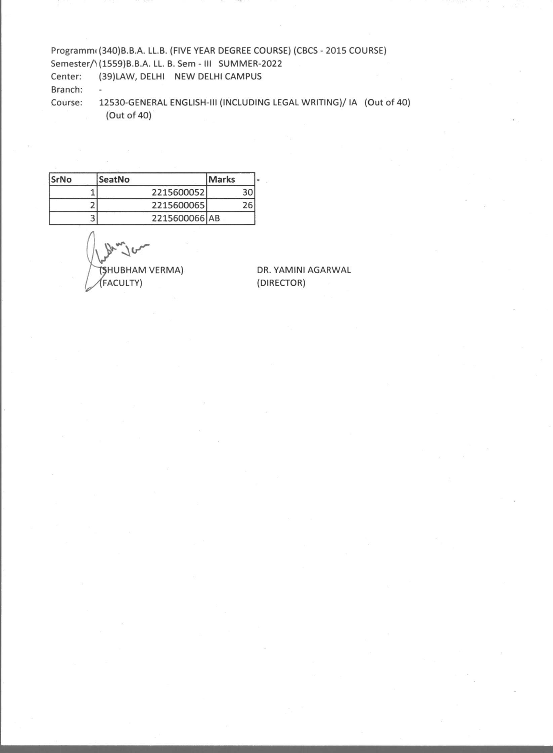Programmi (340)B.B.A. LL.B. (FIVE YEAR DEGREE COURSE) (CBCS - 2015 COURSE) Semester/1(1559)B.B.A. LL. B. Sem - III SUMMER-2022 Center: (39)LAW, DELHI NEW DELHI CAMPUS Branch: Course: 12530-GENERAL ENGLISH-III (INCLUDING LEGAL WRITING)/ IA (Out of 40) (Out of 40)

| SrNo | SeatNo        | Marks |
|------|---------------|-------|
|      | 2215600052    | 30    |
|      | 2215600065    | 26    |
|      | 2215600066 AB |       |

 $\begin{picture}(120,14) \put(0,0){\line(1,0){155}} \put(15,0){\line(1,0){155}} \put(15,0){\line(1,0){155}} \put(15,0){\line(1,0){155}} \put(15,0){\line(1,0){155}} \put(15,0){\line(1,0){155}} \put(15,0){\line(1,0){155}} \put(15,0){\line(1,0){155}} \put(15,0){\line(1,0){155}} \put(15,0){\line(1,0){155}} \put(15,0){\line(1,0){155}}$ FACULTY)

DR. YAMINI AGARWAL (DIRECTOR)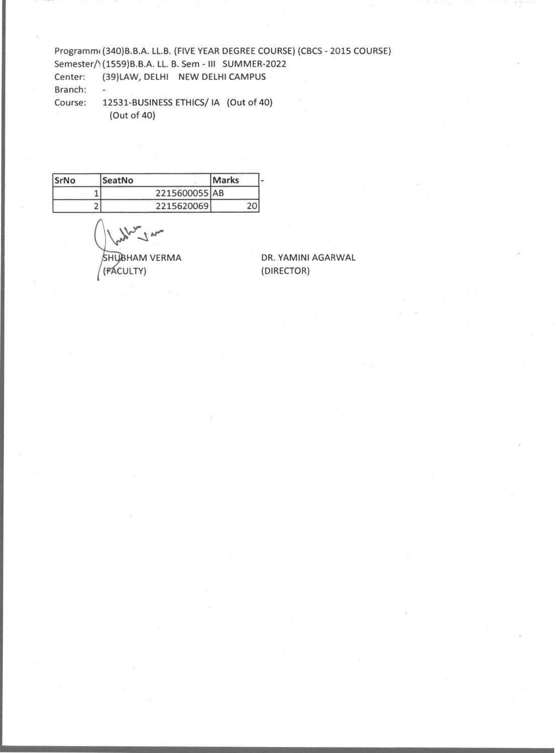Programm( (340)B.B.A. LL.B. (FIVE YEAR DEGREE COURSE) (CBCS - 2015 COURSE) Semester/1(1559)B.B.A. LL. B. Sem - III SUMMER-2022 Center: (39)LAW, DELHI NEW DELHI CAMPUS Branch: Course: 12531-BUSINESS ETHICS/ IA (Out of 40) (Out of 40)

| SrNo | SeatNo        | <b>Marks</b> |
|------|---------------|--------------|
|      | 2215600055 AB |              |
|      | 2215620069    | 20           |

SHUBHAM VERMA<br>
(FACULTY) (DIRECTOR)

**DR. YAMINI AGARWAL**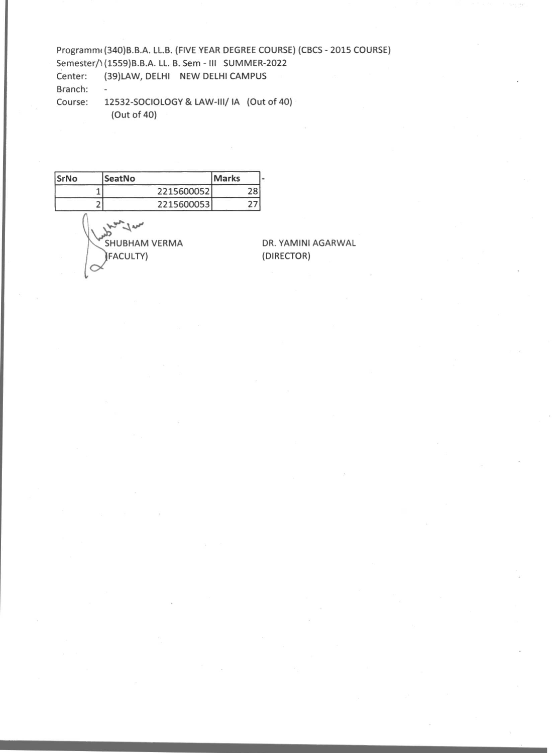Programm(340)B.B.A. LL.B. (FIVE YEAR DEGREE COURSE) (CBCS - 2015 COURSE) Semester/1(1559)B.B.A. LL. B. Sem - Ill SUMMER-2022 Center: (39)LAW, DELHI NEW DELHI CAMPUS Branch: Course: 12532-SOCIOLOGY & LAW-III/ IA (Out of 40) (Out of 40)

| SrNo | SeatNo                                   | <b>Marks</b> |
|------|------------------------------------------|--------------|
|      | 2215600052                               | 28           |
|      | 2215600053                               | 27           |
|      | <b>SHUBHAM VERMA</b><br><b>(FACULTY)</b> |              |

DR. YAMINI AGARWAL (DIRECTOR)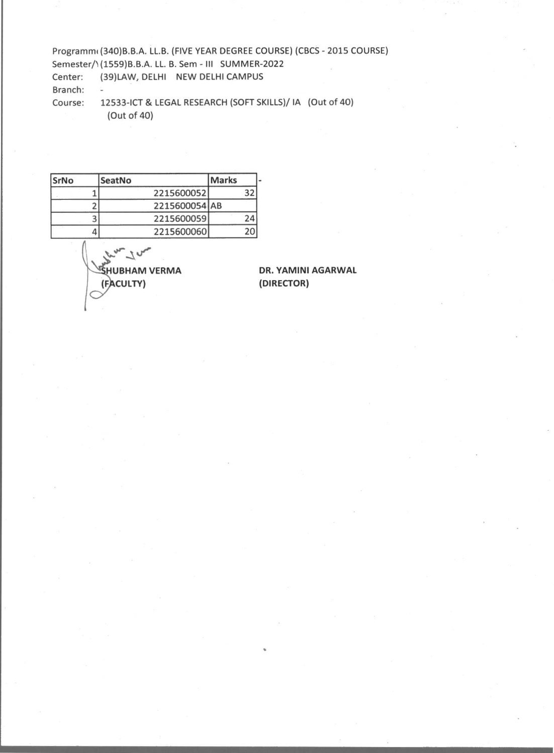Programmi (340)B.B.A. LL.B. (FIVE YEAR DEGREE COURSE) (CBCS - 2015 COURSE) Semester/1(1559)B.B.A. LL. B. Sem - III SUMMER-2022 Center: (39)LAW, DELHI NEW DELHI CAMPUS Branch: Course: 12533-ICT & LEGAL RESEARCH (SOFT SKILLS)/ IA (Out of 40) (Out of 40)

**SrNo SeatNo Marks**  1 2215600052 32<br>2 2215600054 AB 2 2215600054 AB 3 2215600059 24<br>4 2215600060 20 4 2215600060

**ke" HUBHAM VERMA (FACULTY)** 

**DR. YAMINI AGARWAL (DIRECTOR)**